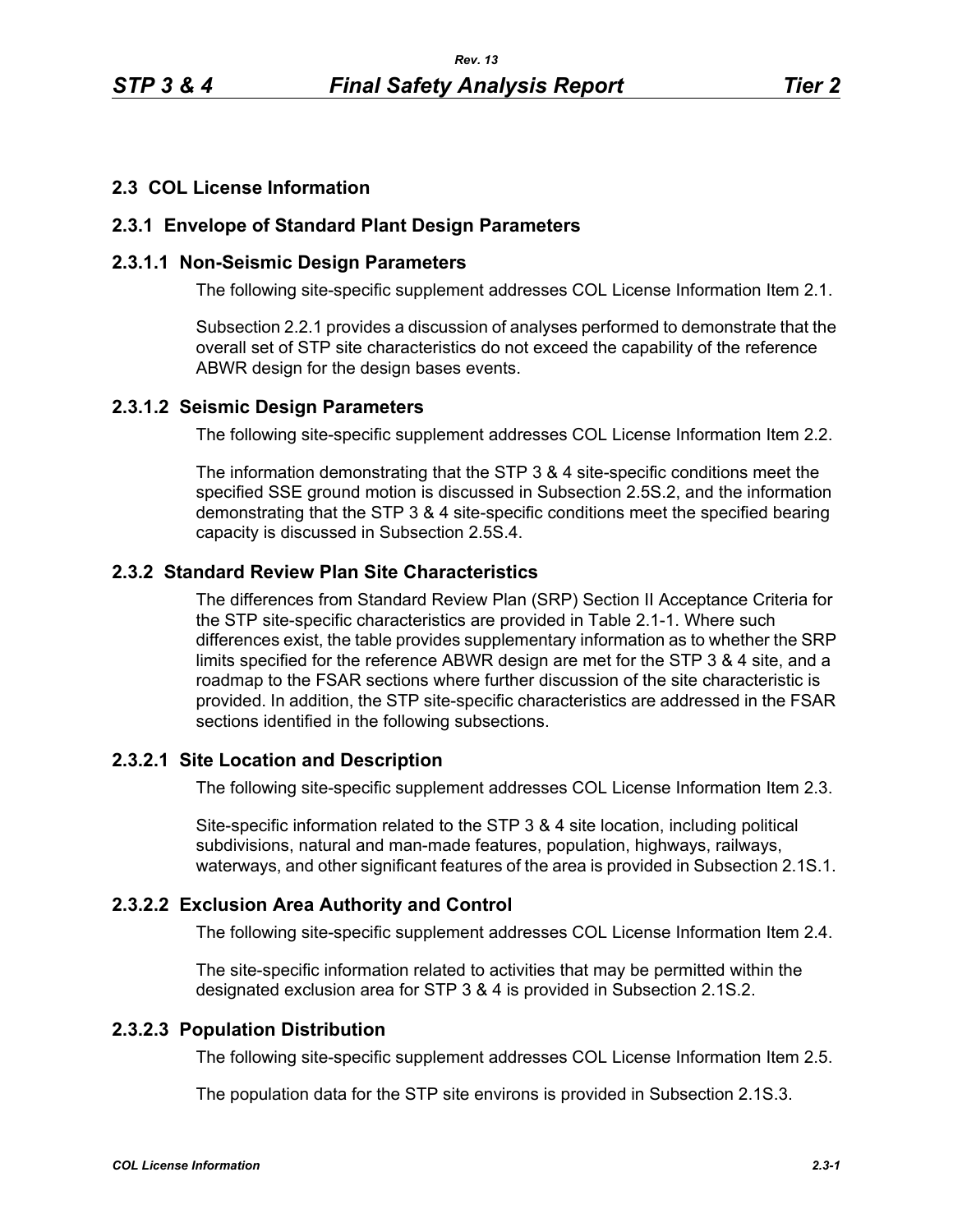## **2.3 COL License Information**

#### **2.3.1 Envelope of Standard Plant Design Parameters**

#### **2.3.1.1 Non-Seismic Design Parameters**

The following site-specific supplement addresses COL License Information Item 2.1.

Subsection 2.2.1 provides a discussion of analyses performed to demonstrate that the overall set of STP site characteristics do not exceed the capability of the reference ABWR design for the design bases events.

#### **2.3.1.2 Seismic Design Parameters**

The following site-specific supplement addresses COL License Information Item 2.2.

The information demonstrating that the STP 3 & 4 site-specific conditions meet the specified SSE ground motion is discussed in Subsection 2.5S.2, and the information demonstrating that the STP 3 & 4 site-specific conditions meet the specified bearing capacity is discussed in Subsection 2.5S.4.

# **2.3.2 Standard Review Plan Site Characteristics**

The differences from Standard Review Plan (SRP) Section II Acceptance Criteria for the STP site-specific characteristics are provided in Table 2.1-1. Where such differences exist, the table provides supplementary information as to whether the SRP limits specified for the reference ABWR design are met for the STP 3 & 4 site, and a roadmap to the FSAR sections where further discussion of the site characteristic is provided. In addition, the STP site-specific characteristics are addressed in the FSAR sections identified in the following subsections.

#### **2.3.2.1 Site Location and Description**

The following site-specific supplement addresses COL License Information Item 2.3.

Site-specific information related to the STP 3 & 4 site location, including political subdivisions, natural and man-made features, population, highways, railways, waterways, and other significant features of the area is provided in Subsection 2.1S.1.

#### **2.3.2.2 Exclusion Area Authority and Control**

The following site-specific supplement addresses COL License Information Item 2.4.

The site-specific information related to activities that may be permitted within the designated exclusion area for STP 3 & 4 is provided in Subsection 2.1S.2.

# **2.3.2.3 Population Distribution**

The following site-specific supplement addresses COL License Information Item 2.5.

The population data for the STP site environs is provided in Subsection 2.1S.3.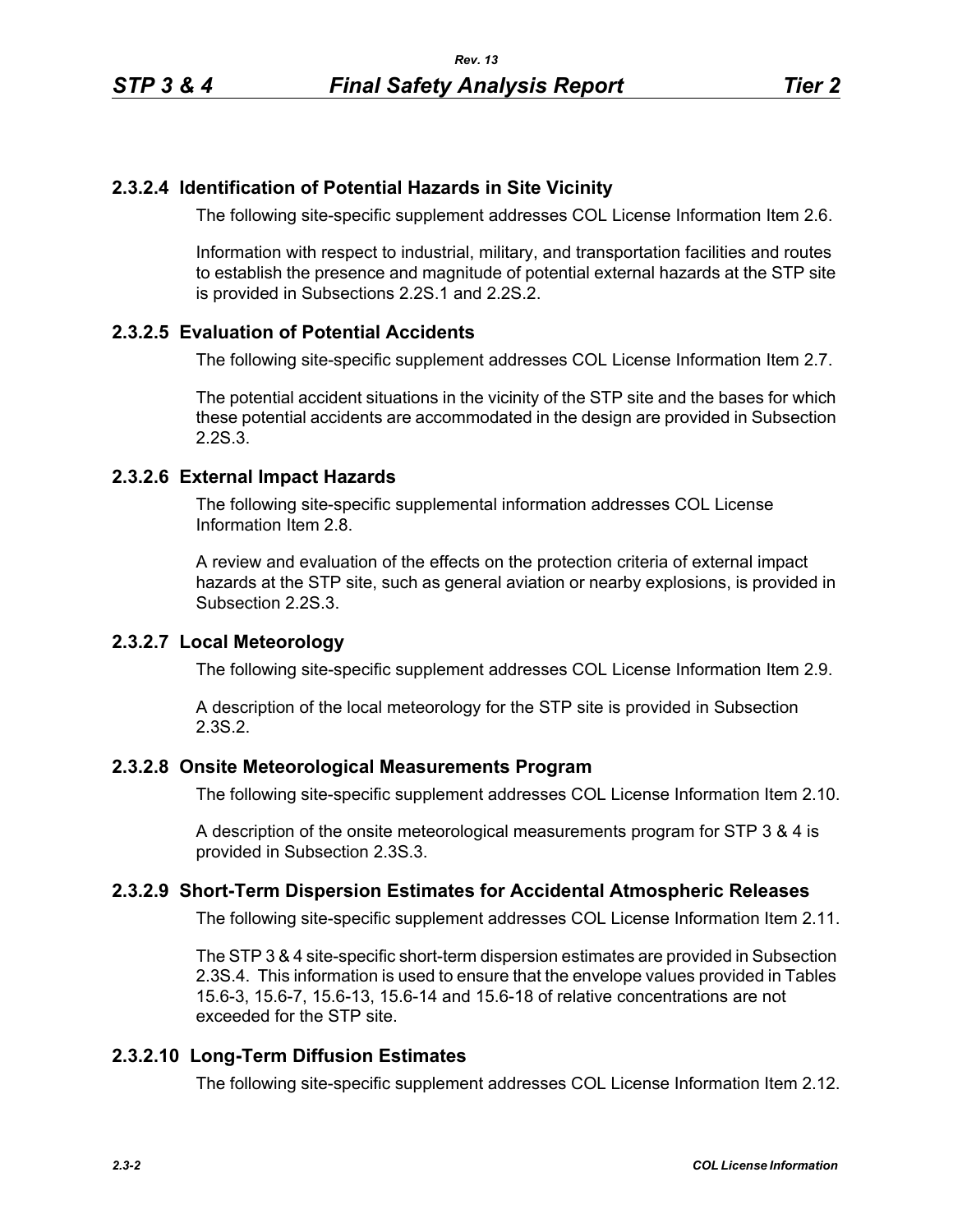## **2.3.2.4 Identification of Potential Hazards in Site Vicinity**

The following site-specific supplement addresses COL License Information Item 2.6.

Information with respect to industrial, military, and transportation facilities and routes to establish the presence and magnitude of potential external hazards at the STP site is provided in Subsections 2.2S.1 and 2.2S.2.

## **2.3.2.5 Evaluation of Potential Accidents**

The following site-specific supplement addresses COL License Information Item 2.7.

The potential accident situations in the vicinity of the STP site and the bases for which these potential accidents are accommodated in the design are provided in Subsection 2.2S.3.

### **2.3.2.6 External Impact Hazards**

The following site-specific supplemental information addresses COL License Information Item 2.8.

A review and evaluation of the effects on the protection criteria of external impact hazards at the STP site, such as general aviation or nearby explosions, is provided in Subsection 2.2S.3.

### **2.3.2.7 Local Meteorology**

The following site-specific supplement addresses COL License Information Item 2.9.

A description of the local meteorology for the STP site is provided in Subsection 2.3S.2.

#### **2.3.2.8 Onsite Meteorological Measurements Program**

The following site-specific supplement addresses COL License Information Item 2.10.

A description of the onsite meteorological measurements program for STP 3 & 4 is provided in Subsection 2.3S.3.

## **2.3.2.9 Short-Term Dispersion Estimates for Accidental Atmospheric Releases**

The following site-specific supplement addresses COL License Information Item 2.11.

The STP 3 & 4 site-specific short-term dispersion estimates are provided in Subsection 2.3S.4. This information is used to ensure that the envelope values provided in Tables 15.6-3, 15.6-7, 15.6-13, 15.6-14 and 15.6-18 of relative concentrations are not exceeded for the STP site.

## **2.3.2.10 Long-Term Diffusion Estimates**

The following site-specific supplement addresses COL License Information Item 2.12.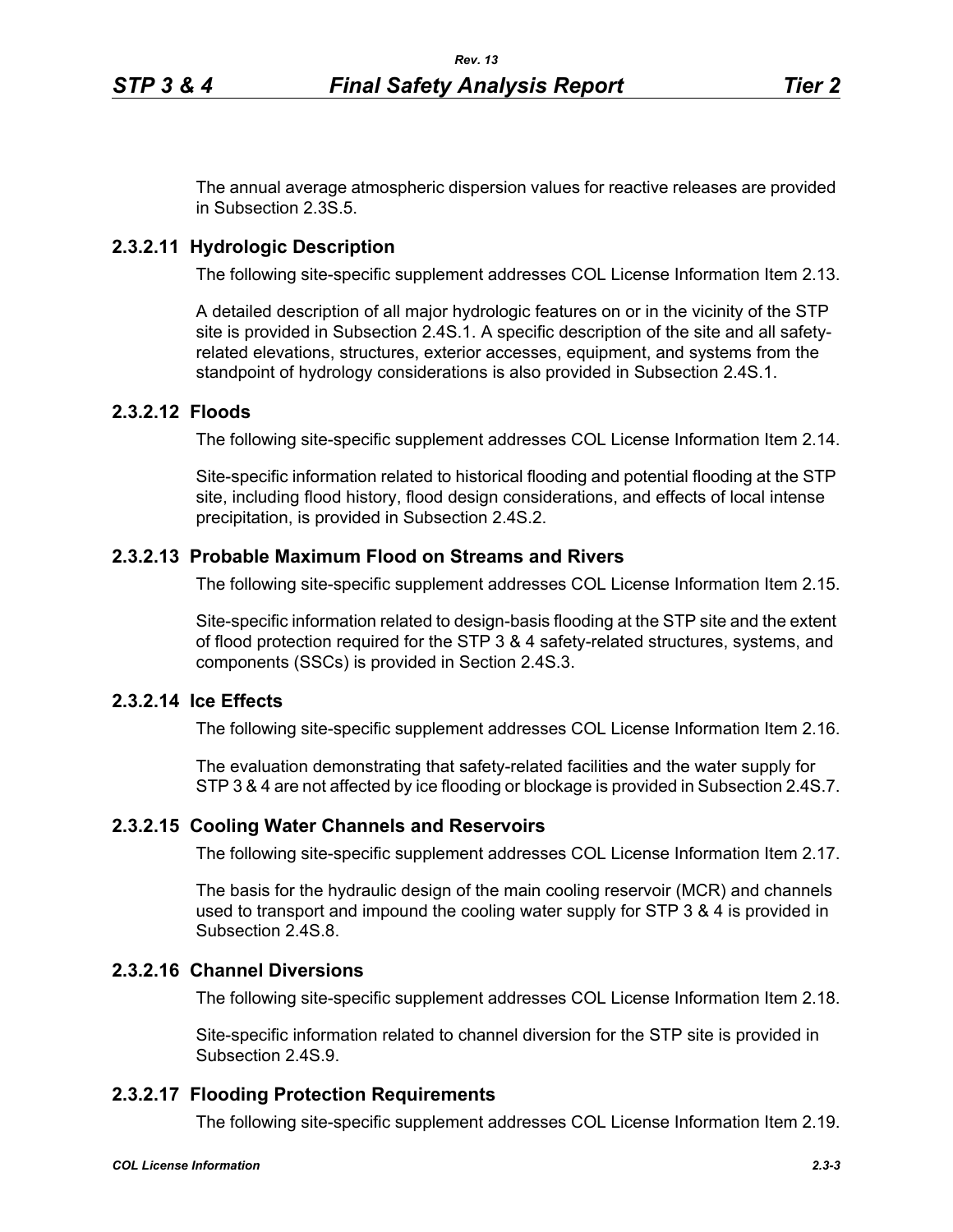The annual average atmospheric dispersion values for reactive releases are provided in Subsection 2.3S.5.

### **2.3.2.11 Hydrologic Description**

The following site-specific supplement addresses COL License Information Item 2.13.

A detailed description of all major hydrologic features on or in the vicinity of the STP site is provided in Subsection 2.4S.1. A specific description of the site and all safetyrelated elevations, structures, exterior accesses, equipment, and systems from the standpoint of hydrology considerations is also provided in Subsection 2.4S.1.

### **2.3.2.12 Floods**

The following site-specific supplement addresses COL License Information Item 2.14.

Site-specific information related to historical flooding and potential flooding at the STP site, including flood history, flood design considerations, and effects of local intense precipitation, is provided in Subsection 2.4S.2.

#### **2.3.2.13 Probable Maximum Flood on Streams and Rivers**

The following site-specific supplement addresses COL License Information Item 2.15.

Site-specific information related to design-basis flooding at the STP site and the extent of flood protection required for the STP 3 & 4 safety-related structures, systems, and components (SSCs) is provided in Section 2.4S.3.

#### **2.3.2.14 Ice Effects**

The following site-specific supplement addresses COL License Information Item 2.16.

The evaluation demonstrating that safety-related facilities and the water supply for STP 3 & 4 are not affected by ice flooding or blockage is provided in Subsection 2.4S.7.

#### **2.3.2.15 Cooling Water Channels and Reservoirs**

The following site-specific supplement addresses COL License Information Item 2.17.

The basis for the hydraulic design of the main cooling reservoir (MCR) and channels used to transport and impound the cooling water supply for STP 3 & 4 is provided in Subsection 2.4S.8.

# **2.3.2.16 Channel Diversions**

The following site-specific supplement addresses COL License Information Item 2.18.

Site-specific information related to channel diversion for the STP site is provided in Subsection 2.4S.9.

#### **2.3.2.17 Flooding Protection Requirements**

The following site-specific supplement addresses COL License Information Item 2.19.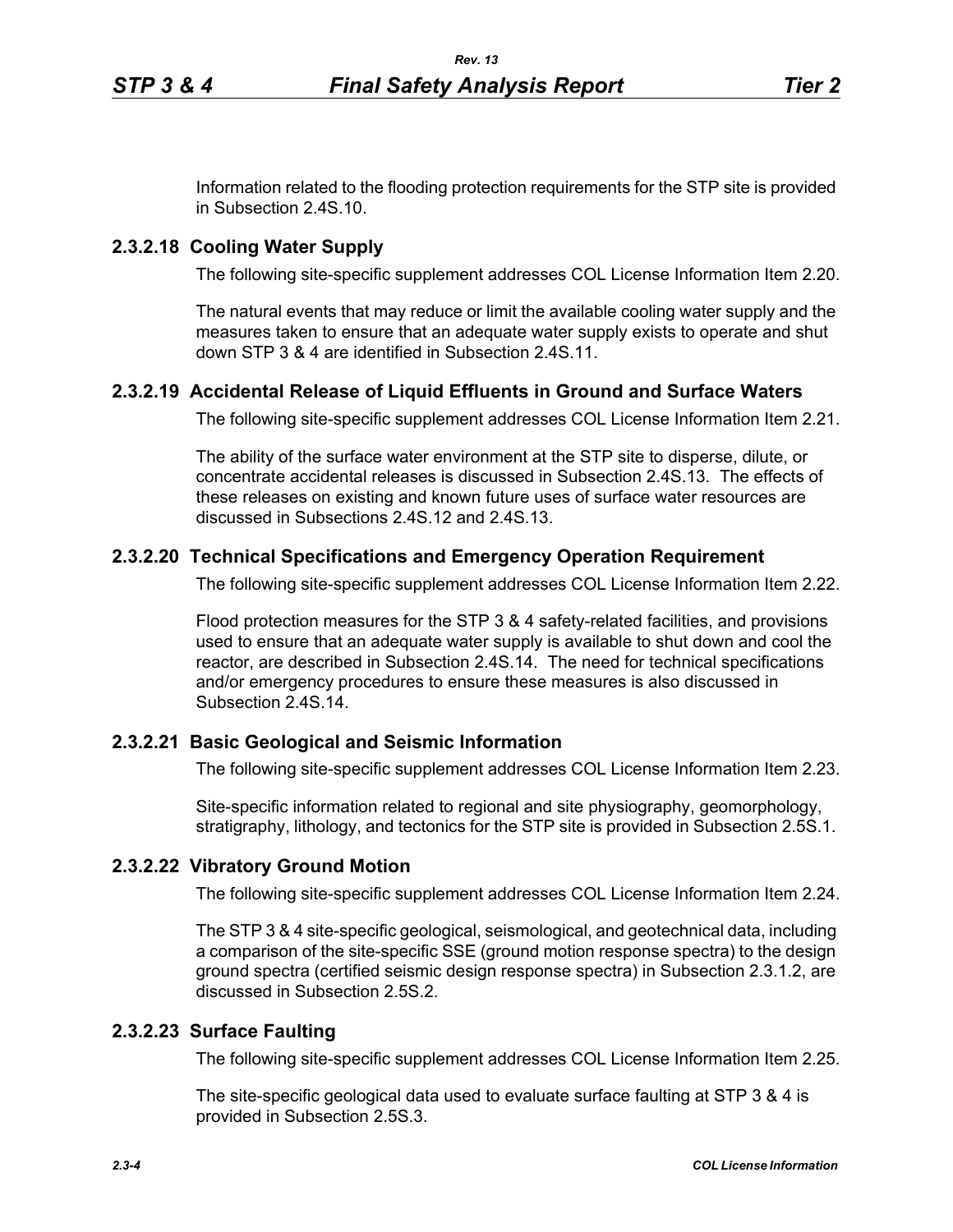Information related to the flooding protection requirements for the STP site is provided in Subsection 2.4S.10.

### **2.3.2.18 Cooling Water Supply**

The following site-specific supplement addresses COL License Information Item 2.20.

The natural events that may reduce or limit the available cooling water supply and the measures taken to ensure that an adequate water supply exists to operate and shut down STP 3 & 4 are identified in Subsection 2.4S.11.

### **2.3.2.19 Accidental Release of Liquid Effluents in Ground and Surface Waters**

The following site-specific supplement addresses COL License Information Item 2.21.

The ability of the surface water environment at the STP site to disperse, dilute, or concentrate accidental releases is discussed in Subsection 2.4S.13. The effects of these releases on existing and known future uses of surface water resources are discussed in Subsections 2.4S.12 and 2.4S.13.

## **2.3.2.20 Technical Specifications and Emergency Operation Requirement**

The following site-specific supplement addresses COL License Information Item 2.22.

Flood protection measures for the STP 3 & 4 safety-related facilities, and provisions used to ensure that an adequate water supply is available to shut down and cool the reactor, are described in Subsection 2.4S.14. The need for technical specifications and/or emergency procedures to ensure these measures is also discussed in Subsection 2.4S.14.

#### **2.3.2.21 Basic Geological and Seismic Information**

The following site-specific supplement addresses COL License Information Item 2.23.

Site-specific information related to regional and site physiography, geomorphology, stratigraphy, lithology, and tectonics for the STP site is provided in Subsection 2.5S.1.

#### **2.3.2.22 Vibratory Ground Motion**

The following site-specific supplement addresses COL License Information Item 2.24.

The STP 3 & 4 site-specific geological, seismological, and geotechnical data, including a comparison of the site-specific SSE (ground motion response spectra) to the design ground spectra (certified seismic design response spectra) in Subsection 2.3.1.2, are discussed in Subsection 2.5S.2.

### **2.3.2.23 Surface Faulting**

The following site-specific supplement addresses COL License Information Item 2.25.

The site-specific geological data used to evaluate surface faulting at STP 3 & 4 is provided in Subsection 2.5S.3.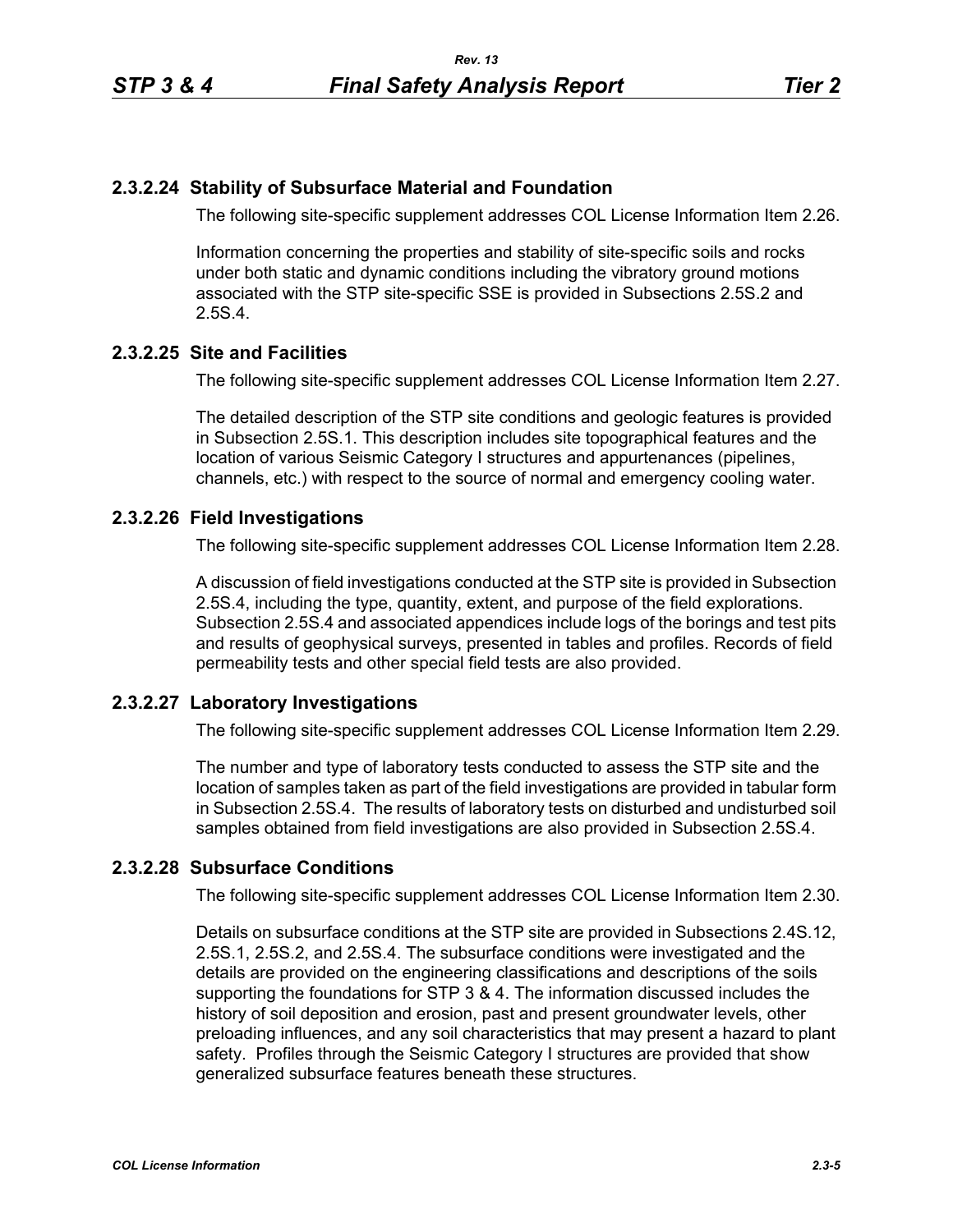### **2.3.2.24 Stability of Subsurface Material and Foundation**

The following site-specific supplement addresses COL License Information Item 2.26.

Information concerning the properties and stability of site-specific soils and rocks under both static and dynamic conditions including the vibratory ground motions associated with the STP site-specific SSE is provided in Subsections 2.5S.2 and 2.5S.4.

### **2.3.2.25 Site and Facilities**

The following site-specific supplement addresses COL License Information Item 2.27.

The detailed description of the STP site conditions and geologic features is provided in Subsection 2.5S.1. This description includes site topographical features and the location of various Seismic Category I structures and appurtenances (pipelines, channels, etc.) with respect to the source of normal and emergency cooling water.

### **2.3.2.26 Field Investigations**

The following site-specific supplement addresses COL License Information Item 2.28.

A discussion of field investigations conducted at the STP site is provided in Subsection 2.5S.4, including the type, quantity, extent, and purpose of the field explorations. Subsection 2.5S.4 and associated appendices include logs of the borings and test pits and results of geophysical surveys, presented in tables and profiles. Records of field permeability tests and other special field tests are also provided.

## **2.3.2.27 Laboratory Investigations**

The following site-specific supplement addresses COL License Information Item 2.29.

The number and type of laboratory tests conducted to assess the STP site and the location of samples taken as part of the field investigations are provided in tabular form in Subsection 2.5S.4. The results of laboratory tests on disturbed and undisturbed soil samples obtained from field investigations are also provided in Subsection 2.5S.4.

# **2.3.2.28 Subsurface Conditions**

The following site-specific supplement addresses COL License Information Item 2.30.

Details on subsurface conditions at the STP site are provided in Subsections 2.4S.12, 2.5S.1, 2.5S.2, and 2.5S.4. The subsurface conditions were investigated and the details are provided on the engineering classifications and descriptions of the soils supporting the foundations for STP 3 & 4. The information discussed includes the history of soil deposition and erosion, past and present groundwater levels, other preloading influences, and any soil characteristics that may present a hazard to plant safety. Profiles through the Seismic Category I structures are provided that show generalized subsurface features beneath these structures.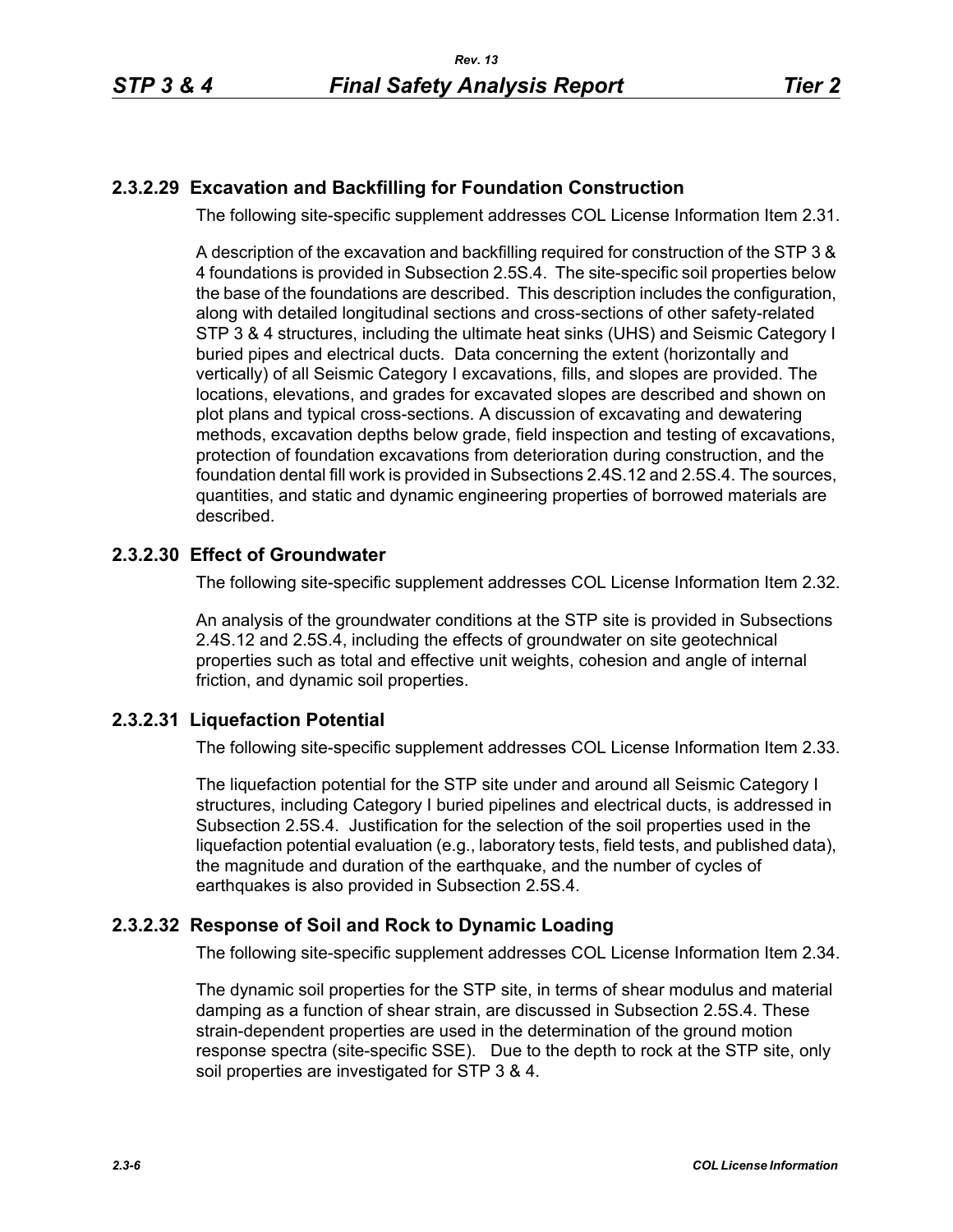# **2.3.2.29 Excavation and Backfilling for Foundation Construction**

The following site-specific supplement addresses COL License Information Item 2.31.

A description of the excavation and backfilling required for construction of the STP 3 & 4 foundations is provided in Subsection 2.5S.4. The site-specific soil properties below the base of the foundations are described. This description includes the configuration, along with detailed longitudinal sections and cross-sections of other safety-related STP 3 & 4 structures, including the ultimate heat sinks (UHS) and Seismic Category I buried pipes and electrical ducts. Data concerning the extent (horizontally and vertically) of all Seismic Category I excavations, fills, and slopes are provided. The locations, elevations, and grades for excavated slopes are described and shown on plot plans and typical cross-sections. A discussion of excavating and dewatering methods, excavation depths below grade, field inspection and testing of excavations, protection of foundation excavations from deterioration during construction, and the foundation dental fill work is provided in Subsections 2.4S.12 and 2.5S.4. The sources, quantities, and static and dynamic engineering properties of borrowed materials are described.

## **2.3.2.30 Effect of Groundwater**

The following site-specific supplement addresses COL License Information Item 2.32.

An analysis of the groundwater conditions at the STP site is provided in Subsections 2.4S.12 and 2.5S.4, including the effects of groundwater on site geotechnical properties such as total and effective unit weights, cohesion and angle of internal friction, and dynamic soil properties.

## **2.3.2.31 Liquefaction Potential**

The following site-specific supplement addresses COL License Information Item 2.33.

The liquefaction potential for the STP site under and around all Seismic Category I structures, including Category I buried pipelines and electrical ducts, is addressed in Subsection 2.5S.4. Justification for the selection of the soil properties used in the liquefaction potential evaluation (e.g., laboratory tests, field tests, and published data), the magnitude and duration of the earthquake, and the number of cycles of earthquakes is also provided in Subsection 2.5S.4.

## **2.3.2.32 Response of Soil and Rock to Dynamic Loading**

The following site-specific supplement addresses COL License Information Item 2.34.

The dynamic soil properties for the STP site, in terms of shear modulus and material damping as a function of shear strain, are discussed in Subsection 2.5S.4. These strain-dependent properties are used in the determination of the ground motion response spectra (site-specific SSE). Due to the depth to rock at the STP site, only soil properties are investigated for STP 3 & 4.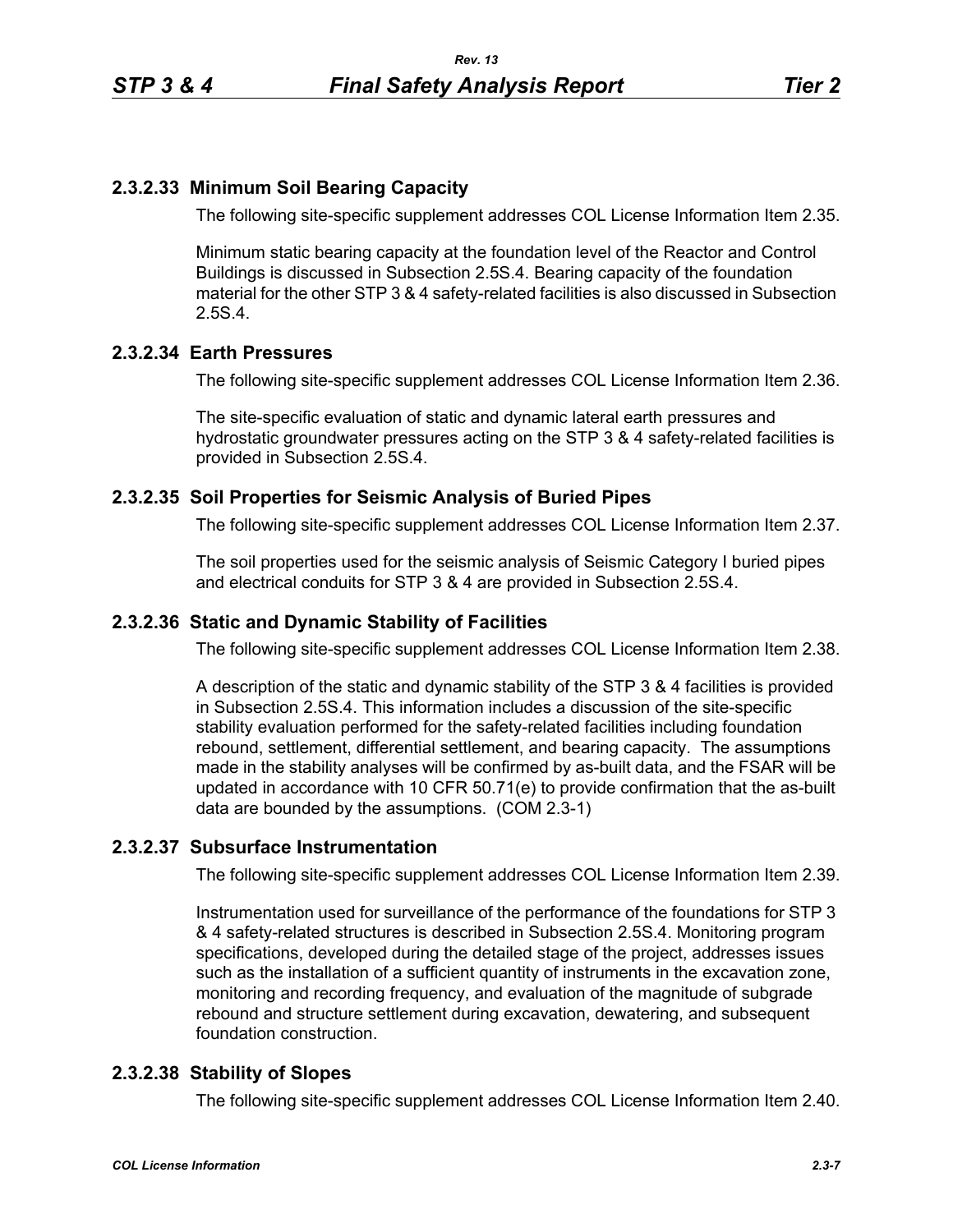## **2.3.2.33 Minimum Soil Bearing Capacity**

The following site-specific supplement addresses COL License Information Item 2.35.

Minimum static bearing capacity at the foundation level of the Reactor and Control Buildings is discussed in Subsection 2.5S.4. Bearing capacity of the foundation material for the other STP 3 & 4 safety-related facilities is also discussed in Subsection 2.5S.4.

### **2.3.2.34 Earth Pressures**

The following site-specific supplement addresses COL License Information Item 2.36.

The site-specific evaluation of static and dynamic lateral earth pressures and hydrostatic groundwater pressures acting on the STP 3 & 4 safety-related facilities is provided in Subsection 2.5S.4.

### **2.3.2.35 Soil Properties for Seismic Analysis of Buried Pipes**

The following site-specific supplement addresses COL License Information Item 2.37.

The soil properties used for the seismic analysis of Seismic Category I buried pipes and electrical conduits for STP 3 & 4 are provided in Subsection 2.5S.4.

## **2.3.2.36 Static and Dynamic Stability of Facilities**

The following site-specific supplement addresses COL License Information Item 2.38.

A description of the static and dynamic stability of the STP 3 & 4 facilities is provided in Subsection 2.5S.4. This information includes a discussion of the site-specific stability evaluation performed for the safety-related facilities including foundation rebound, settlement, differential settlement, and bearing capacity. The assumptions made in the stability analyses will be confirmed by as-built data, and the FSAR will be updated in accordance with 10 CFR 50.71(e) to provide confirmation that the as-built data are bounded by the assumptions. (COM 2.3-1)

#### **2.3.2.37 Subsurface Instrumentation**

The following site-specific supplement addresses COL License Information Item 2.39.

Instrumentation used for surveillance of the performance of the foundations for STP 3 & 4 safety-related structures is described in Subsection 2.5S.4. Monitoring program specifications, developed during the detailed stage of the project, addresses issues such as the installation of a sufficient quantity of instruments in the excavation zone, monitoring and recording frequency, and evaluation of the magnitude of subgrade rebound and structure settlement during excavation, dewatering, and subsequent foundation construction.

#### **2.3.2.38 Stability of Slopes**

The following site-specific supplement addresses COL License Information Item 2.40.